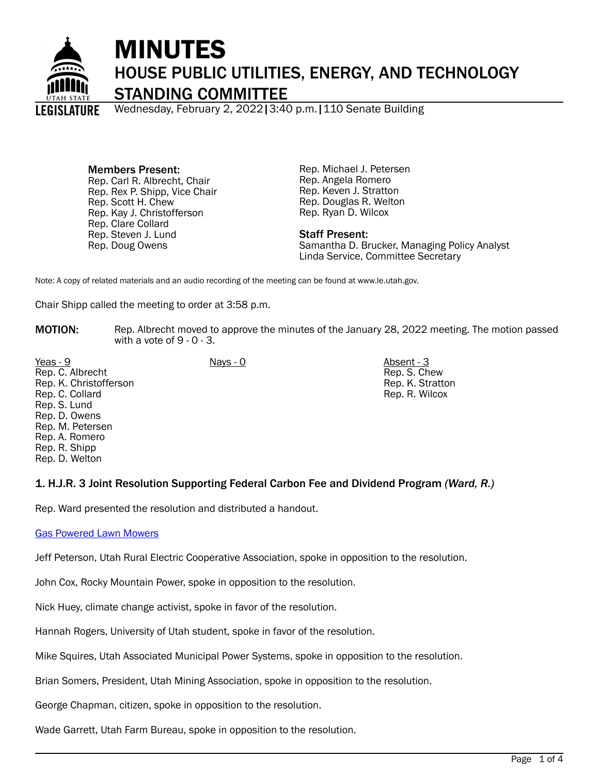

# MINUTES HOUSE PUBLIC UTILITIES, ENERGY, AND TECHNOLOGY STANDING COMMITTEE

Wednesday, February 2, 2022|3:40 p.m.|110 Senate Building

Members Present: Rep. Carl R. Albrecht, Chair Rep. Rex P. Shipp, Vice Chair Rep. Scott H. Chew Rep. Kay J. Christofferson Rep. Clare Collard Rep. Steven J. Lund Rep. Doug Owens

Rep. Michael J. Petersen Rep. Angela Romero Rep. Keven J. Stratton Rep. Douglas R. Welton Rep. Ryan D. Wilcox

#### Staff Present:

Samantha D. Brucker, Managing Policy Analyst Linda Service, Committee Secretary

Note: A copy of related materials and an audio recording of the meeting can be found at www.le.utah.gov.

Chair Shipp called the meeting to order at 3:58 p.m.

**MOTION:** Rep. Albrecht moved to approve the minutes of the January 28, 2022 meeting. The motion passed with a vote of 9 - 0 - 3.

Yeas - 9 Nays - 0 Absent - 3 Rep. C. Albrecht Rep. K. Christofferson Rep. C. Collard Rep. S. Lund Rep. D. Owens Rep. M. Petersen Rep. A. Romero Rep. R. Shipp Rep. D. Welton

Rep. S. Chew Rep. K. Stratton Rep. R. Wilcox

### 1. H.J.R. 3 Joint Resolution Supporting Federal Carbon Fee and Dividend Program *(Ward, R.)*

Rep. Ward presented the resolution and distributed a handout.

[Gas Powered Lawn Mowers](https://le.utah.gov/interim/2022/pdf/00001453.pdf)

Jeff Peterson, Utah Rural Electric Cooperative Association, spoke in opposition to the resolution.

John Cox, Rocky Mountain Power, spoke in opposition to the resolution.

Nick Huey, climate change activist, spoke in favor of the resolution.

Hannah Rogers, University of Utah student, spoke in favor of the resolution.

Mike Squires, Utah Associated Municipal Power Systems, spoke in opposition to the resolution.

Brian Somers, President, Utah Mining Association, spoke in opposition to the resolution.

George Chapman, citizen, spoke in opposition to the resolution.

Wade Garrett, Utah Farm Bureau, spoke in opposition to the resolution.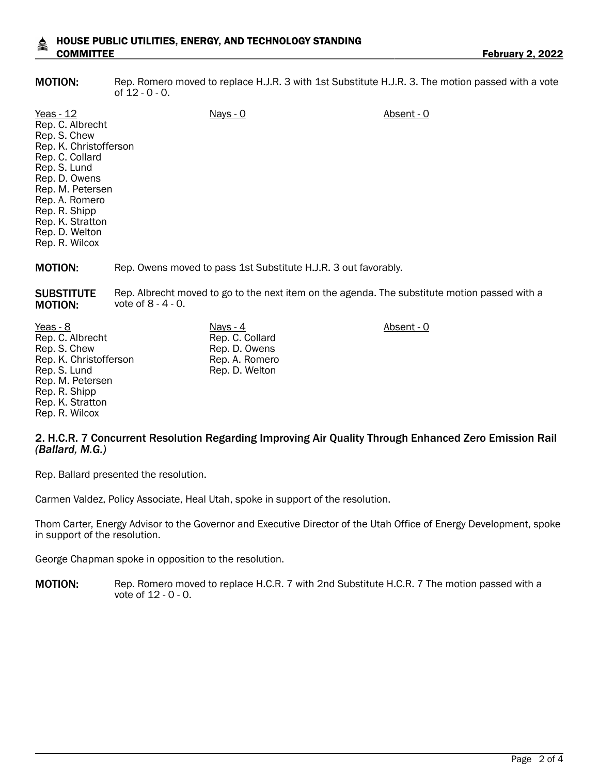MOTION: Rep. Romero moved to replace H.J.R. 3 with 1st Substitute H.J.R. 3. The motion passed with a vote of 12 - 0 - 0.

| Yeas - $12$<br>Rep. C. Albrecht<br>Rep. S. Chew           | Nays - 0                                                        | Absent - 0 |
|-----------------------------------------------------------|-----------------------------------------------------------------|------------|
| Rep. K. Christofferson<br>Rep. C. Collard<br>Rep. S. Lund |                                                                 |            |
| Rep. D. Owens<br>Rep. M. Petersen<br>Rep. A. Romero       |                                                                 |            |
| Rep. R. Shipp<br>Rep. K. Stratton                         |                                                                 |            |
| Rep. D. Welton<br>Rep. R. Wilcox                          |                                                                 |            |
| <b>MOTION:</b>                                            | Rep. Owens moved to pass 1st Substitute H.J.R. 3 out favorably. |            |

**SUBSTITUTE** MOTION: Rep. Albrecht moved to go to the next item on the agenda. The substitute motion passed with a vote of 8 - 4 - 0.

Yeas - 8 Nays - 4 Absent - 0 Rep. C. Albrecht Rep. S. Chew Rep. K. Christofferson Rep. S. Lund Rep. M. Petersen Rep. R. Shipp Rep. K. Stratton Rep. R. Wilcox

Rep. C. Collard Rep. D. Owens Rep. A. Romero Rep. D. Welton

### 2. H.C.R. 7 Concurrent Resolution Regarding Improving Air Quality Through Enhanced Zero Emission Rail *(Ballard, M.G.)*

Rep. Ballard presented the resolution.

Carmen Valdez, Policy Associate, Heal Utah, spoke in support of the resolution.

Thom Carter, Energy Advisor to the Governor and Executive Director of the Utah Office of Energy Development, spoke in support of the resolution.

George Chapman spoke in opposition to the resolution.

MOTION: Rep. Romero moved to replace H.C.R. 7 with 2nd Substitute H.C.R. 7 The motion passed with a vote of 12 - 0 - 0.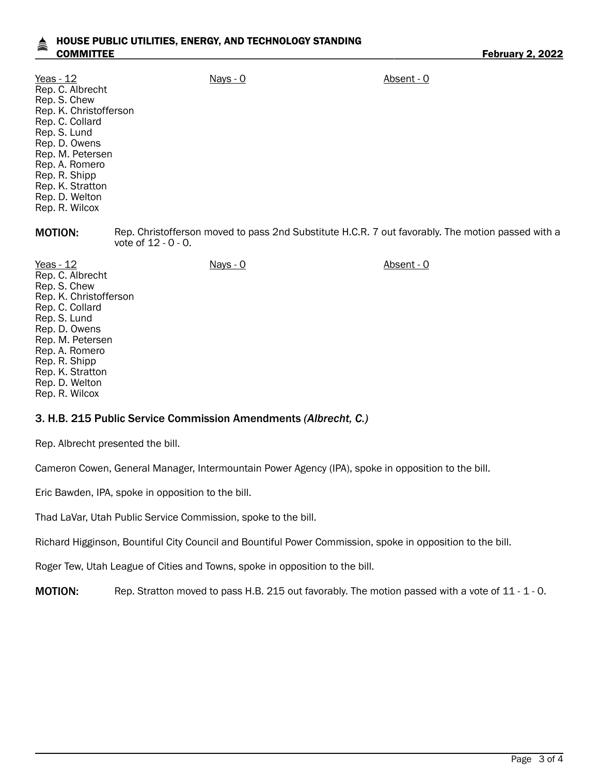#### HOUSE PUBLIC UTILITIES, ENERGY, AND TECHNOLOGY STANDING COMMITTEE **February 2, 2022**

| Yeas - $12$<br>Rep. C. Albrecht<br>Rep. S. Chew<br>Rep. K. Christofferson<br>Rep. C. Collard<br>Rep. S. Lund<br>Rep. D. Owens<br>Rep. M. Petersen<br>Rep. A. Romero<br>Rep. R. Shipp<br>Rep. K. Stratton<br>Rep. D. Welton<br>Rep. R. Wilcox |                     | $Nays - 0$ | Absent - 0                                                                                        |
|----------------------------------------------------------------------------------------------------------------------------------------------------------------------------------------------------------------------------------------------|---------------------|------------|---------------------------------------------------------------------------------------------------|
| <b>MOTION:</b>                                                                                                                                                                                                                               | vote of 12 - 0 - 0. |            | Rep. Christofferson moved to pass 2nd Substitute H.C.R. 7 out favorably. The motion passed with a |
| Yeas - $12$<br>Rep. C. Albrecht<br>Rep. S. Chew<br>Rep. K. Christofferson<br>Rep. C. Collard<br>Rep. S. Lund<br>Rep. D. Owens<br>Rep. M. Petersen                                                                                            |                     | $Nays - 0$ | Absent - 0                                                                                        |

Rep. R. Wilcox

### 3. H.B. 215 Public Service Commission Amendments *(Albrecht, C.)*

Rep. Albrecht presented the bill.

Rep. A. Romero Rep. R. Shipp Rep. K. Stratton Rep. D. Welton

Cameron Cowen, General Manager, Intermountain Power Agency (IPA), spoke in opposition to the bill.

Eric Bawden, IPA, spoke in opposition to the bill.

Thad LaVar, Utah Public Service Commission, spoke to the bill.

Richard Higginson, Bountiful City Council and Bountiful Power Commission, spoke in opposition to the bill.

Roger Tew, Utah League of Cities and Towns, spoke in opposition to the bill.

MOTION: Rep. Stratton moved to pass H.B. 215 out favorably. The motion passed with a vote of 11 - 1 - 0.